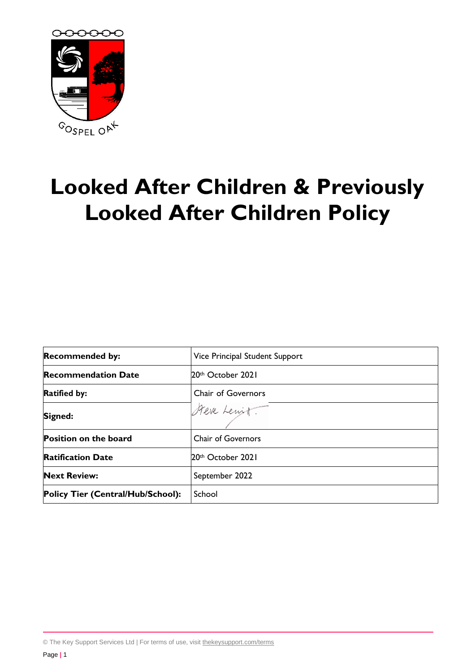

# **Looked After Children & Previously Looked After Children Policy**

| <b>Recommended by:</b>            | Vice Principal Student Support |
|-----------------------------------|--------------------------------|
| <b>Recommendation Date</b>        | 20th October 2021              |
| <b>Ratified by:</b>               | <b>Chair of Governors</b>      |
| Signed:                           | Steve Lewitt.                  |
| <b>Position on the board</b>      | <b>Chair of Governors</b>      |
| <b>Ratification Date</b>          | 20th October 2021              |
| <b>Next Review:</b>               | September 2022                 |
| Policy Tier (Central/Hub/School): | School                         |

© The Key Support Services Ltd | For terms of use, visit [thekeysupport.com/terms](https://thekeysupport.com/terms-of-use)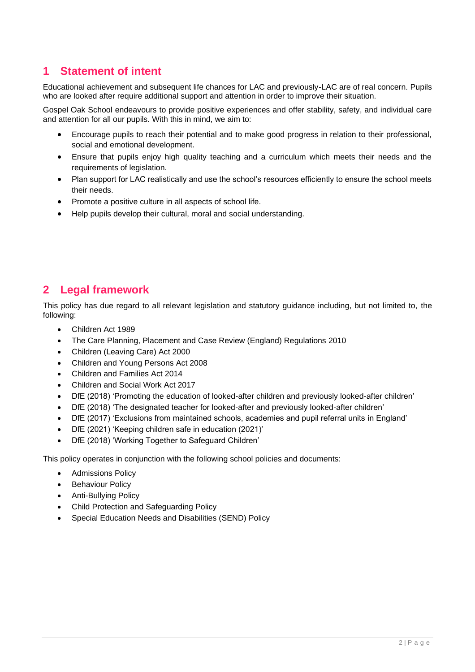# **1 Statement of intent**

Educational achievement and subsequent life chances for LAC and previously-LAC are of real concern. Pupils who are looked after require additional support and attention in order to improve their situation.

Gospel Oak School endeavours to provide positive experiences and offer stability, safety, and individual care and attention for all our pupils. With this in mind, we aim to:

- Encourage pupils to reach their potential and to make good progress in relation to their professional, social and emotional development.
- Ensure that pupils enjoy high quality teaching and a curriculum which meets their needs and the requirements of legislation.
- Plan support for LAC realistically and use the school's resources efficiently to ensure the school meets their needs.
- Promote a positive culture in all aspects of school life.
- Help pupils develop their cultural, moral and social understanding.

# **2 Legal framework**

This policy has due regard to all relevant legislation and statutory guidance including, but not limited to, the following:

- Children Act 1989
- The Care Planning, Placement and Case Review (England) Regulations 2010
- Children (Leaving Care) Act 2000
- Children and Young Persons Act 2008
- Children and Families Act 2014
- Children and Social Work Act 2017
- DfE (2018) 'Promoting the education of looked-after children and previously looked-after children'
- DfE (2018) 'The designated teacher for looked-after and previously looked-after children'
- DfE (2017) 'Exclusions from maintained schools, academies and pupil referral units in England'
- DfE (2021) 'Keeping children safe in education (2021)'
- DfE (2018) 'Working Together to Safeguard Children'

This policy operates in conjunction with the following school policies and documents:

- Admissions Policy
- **Behaviour Policy**
- Anti-Bullying Policy
- Child Protection and Safeguarding Policy
- Special Education Needs and Disabilities (SEND) Policy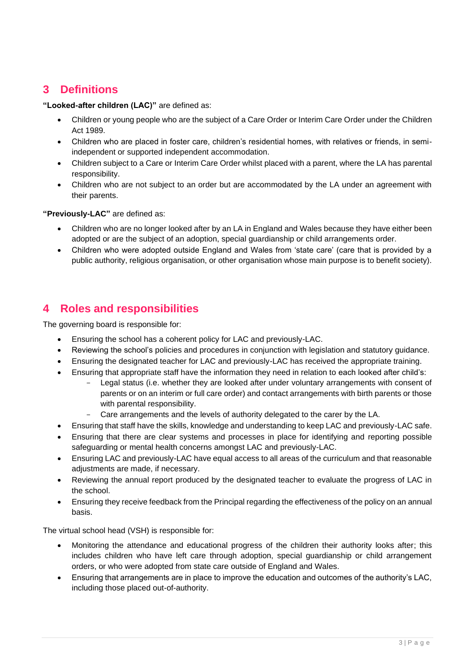# **3 Definitions**

**"Looked-after children (LAC)"** are defined as:

- Children or young people who are the subject of a Care Order or Interim Care Order under the Children Act 1989.
- Children who are placed in foster care, children's residential homes, with relatives or friends, in semiindependent or supported independent accommodation.
- Children subject to a Care or Interim Care Order whilst placed with a parent, where the LA has parental responsibility.
- Children who are not subject to an order but are accommodated by the LA under an agreement with their parents.

**"Previously-LAC"** are defined as:

- Children who are no longer looked after by an LA in England and Wales because they have either been adopted or are the subject of an adoption, special guardianship or child arrangements order.
- Children who were adopted outside England and Wales from 'state care' (care that is provided by a public authority, religious organisation, or other organisation whose main purpose is to benefit society).

## **4 Roles and responsibilities**

The governing board is responsible for:

- Ensuring the school has a coherent policy for LAC and previously-LAC.
- Reviewing the school's policies and procedures in conjunction with legislation and statutory guidance.
- Ensuring the designated teacher for LAC and previously-LAC has received the appropriate training.
- Ensuring that appropriate staff have the information they need in relation to each looked after child's:
	- Legal status (i.e. whether they are looked after under voluntary arrangements with consent of parents or on an interim or full care order) and contact arrangements with birth parents or those with parental responsibility.
	- Care arrangements and the levels of authority delegated to the carer by the LA.
- Ensuring that staff have the skills, knowledge and understanding to keep LAC and previously-LAC safe.
- Ensuring that there are clear systems and processes in place for identifying and reporting possible safeguarding or mental health concerns amongst LAC and previously-LAC.
- Ensuring LAC and previously-LAC have equal access to all areas of the curriculum and that reasonable adjustments are made, if necessary.
- Reviewing the annual report produced by the designated teacher to evaluate the progress of LAC in the school.
- Ensuring they receive feedback from the Principal regarding the effectiveness of the policy on an annual basis.

The virtual school head (VSH) is responsible for:

- Monitoring the attendance and educational progress of the children their authority looks after; this includes children who have left care through adoption, special guardianship or child arrangement orders, or who were adopted from state care outside of England and Wales.
- Ensuring that arrangements are in place to improve the education and outcomes of the authority's LAC, including those placed out-of-authority.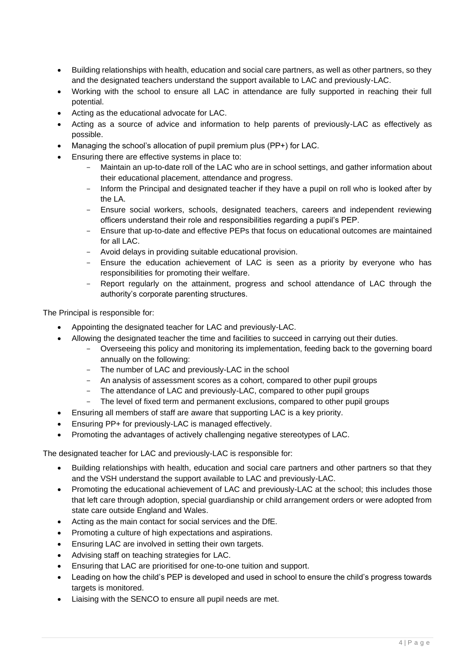- Building relationships with health, education and social care partners, as well as other partners, so they and the designated teachers understand the support available to LAC and previously-LAC.
- Working with the school to ensure all LAC in attendance are fully supported in reaching their full potential.
- Acting as the educational advocate for LAC.
- Acting as a source of advice and information to help parents of previously-LAC as effectively as possible.
- Managing the school's allocation of pupil premium plus (PP+) for LAC.
- Ensuring there are effective systems in place to:
	- Maintain an up-to-date roll of the LAC who are in school settings, and gather information about their educational placement, attendance and progress.
	- Inform the Principal and designated teacher if they have a pupil on roll who is looked after by the LA.
	- Ensure social workers, schools, designated teachers, careers and independent reviewing officers understand their role and responsibilities regarding a pupil's PEP.
	- Ensure that up-to-date and effective PEPs that focus on educational outcomes are maintained for all LAC.
	- Avoid delays in providing suitable educational provision.
	- Ensure the education achievement of LAC is seen as a priority by everyone who has responsibilities for promoting their welfare.
	- Report regularly on the attainment, progress and school attendance of LAC through the authority's corporate parenting structures.

The Principal is responsible for:

- Appointing the designated teacher for LAC and previously-LAC.
- Allowing the designated teacher the time and facilities to succeed in carrying out their duties.
	- Overseeing this policy and monitoring its implementation, feeding back to the governing board annually on the following:
	- The number of LAC and previously-LAC in the school
	- An analysis of assessment scores as a cohort, compared to other pupil groups
	- The attendance of LAC and previously-LAC, compared to other pupil groups
	- The level of fixed term and permanent exclusions, compared to other pupil groups
- Ensuring all members of staff are aware that supporting LAC is a key priority.
- Ensuring PP+ for previously-LAC is managed effectively.
- Promoting the advantages of actively challenging negative stereotypes of LAC.

The designated teacher for LAC and previously-LAC is responsible for:

- Building relationships with health, education and social care partners and other partners so that they and the VSH understand the support available to LAC and previously-LAC.
- Promoting the educational achievement of LAC and previously-LAC at the school; this includes those that left care through adoption, special guardianship or child arrangement orders or were adopted from state care outside England and Wales.
- Acting as the main contact for social services and the DfE.
- Promoting a culture of high expectations and aspirations.
- Ensuring LAC are involved in setting their own targets.
- Advising staff on teaching strategies for LAC.
- Ensuring that LAC are prioritised for one-to-one tuition and support.
- Leading on how the child's PEP is developed and used in school to ensure the child's progress towards targets is monitored.
- Liaising with the SENCO to ensure all pupil needs are met.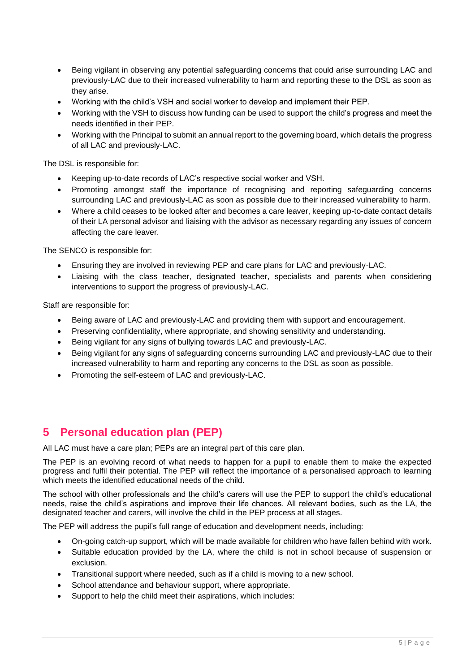- Being vigilant in observing any potential safeguarding concerns that could arise surrounding LAC and previously-LAC due to their increased vulnerability to harm and reporting these to the DSL as soon as they arise.
- Working with the child's VSH and social worker to develop and implement their PEP.
- Working with the VSH to discuss how funding can be used to support the child's progress and meet the needs identified in their PEP.
- Working with the Principal to submit an annual report to the governing board, which details the progress of all LAC and previously-LAC.

The DSL is responsible for:

- Keeping up-to-date records of LAC's respective social worker and VSH.
- Promoting amongst staff the importance of recognising and reporting safeguarding concerns surrounding LAC and previously-LAC as soon as possible due to their increased vulnerability to harm.
- Where a child ceases to be looked after and becomes a care leaver, keeping up-to-date contact details of their LA personal advisor and liaising with the advisor as necessary regarding any issues of concern affecting the care leaver.

The SENCO is responsible for:

- Ensuring they are involved in reviewing PEP and care plans for LAC and previously-LAC.
- Liaising with the class teacher, designated teacher, specialists and parents when considering interventions to support the progress of previously-LAC.

Staff are responsible for:

- Being aware of LAC and previously-LAC and providing them with support and encouragement.
- Preserving confidentiality, where appropriate, and showing sensitivity and understanding.
- Being vigilant for any signs of bullying towards LAC and previously-LAC.
- Being vigilant for any signs of safeguarding concerns surrounding LAC and previously-LAC due to their increased vulnerability to harm and reporting any concerns to the DSL as soon as possible.
- Promoting the self-esteem of LAC and previously-LAC.

# **5 Personal education plan (PEP)**

All LAC must have a care plan; PEPs are an integral part of this care plan.

The PEP is an evolving record of what needs to happen for a pupil to enable them to make the expected progress and fulfil their potential. The PEP will reflect the importance of a personalised approach to learning which meets the identified educational needs of the child.

The school with other professionals and the child's carers will use the PEP to support the child's educational needs, raise the child's aspirations and improve their life chances. All relevant bodies, such as the LA, the designated teacher and carers, will involve the child in the PEP process at all stages.

The PEP will address the pupil's full range of education and development needs, including:

- On-going catch-up support, which will be made available for children who have fallen behind with work.
- Suitable education provided by the LA, where the child is not in school because of suspension or exclusion.
- Transitional support where needed, such as if a child is moving to a new school.
- School attendance and behaviour support, where appropriate.
- Support to help the child meet their aspirations, which includes: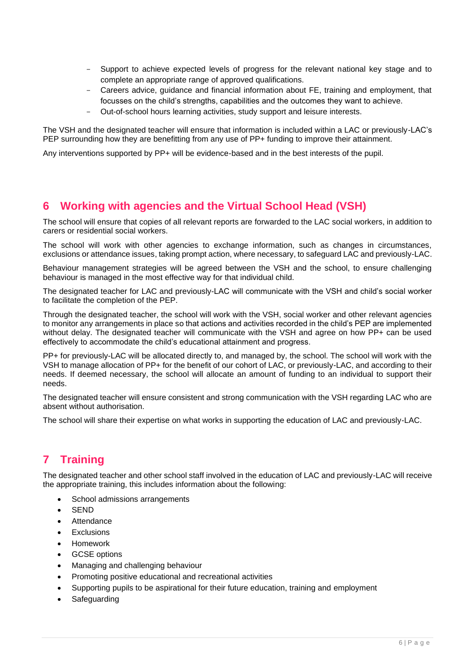- Support to achieve expected levels of progress for the relevant national key stage and to complete an appropriate range of approved qualifications.
- Careers advice, guidance and financial information about FE, training and employment, that focusses on the child's strengths, capabilities and the outcomes they want to achieve.
- Out-of-school hours learning activities, study support and leisure interests.

The VSH and the designated teacher will ensure that information is included within a LAC or previously-LAC's PEP surrounding how they are benefitting from any use of PP+ funding to improve their attainment.

Any interventions supported by PP+ will be evidence-based and in the best interests of the pupil.

## **6 Working with agencies and the Virtual School Head (VSH)**

The school will ensure that copies of all relevant reports are forwarded to the LAC social workers, in addition to carers or residential social workers.

The school will work with other agencies to exchange information, such as changes in circumstances, exclusions or attendance issues, taking prompt action, where necessary, to safeguard LAC and previously-LAC.

Behaviour management strategies will be agreed between the VSH and the school, to ensure challenging behaviour is managed in the most effective way for that individual child.

The designated teacher for LAC and previously-LAC will communicate with the VSH and child's social worker to facilitate the completion of the PEP.

Through the designated teacher, the school will work with the VSH, social worker and other relevant agencies to monitor any arrangements in place so that actions and activities recorded in the child's PEP are implemented without delay. The designated teacher will communicate with the VSH and agree on how PP+ can be used effectively to accommodate the child's educational attainment and progress.

PP+ for previously-LAC will be allocated directly to, and managed by, the school. The school will work with the VSH to manage allocation of PP+ for the benefit of our cohort of LAC, or previously-LAC, and according to their needs. If deemed necessary, the school will allocate an amount of funding to an individual to support their needs.

The designated teacher will ensure consistent and strong communication with the VSH regarding LAC who are absent without authorisation.

The school will share their expertise on what works in supporting the education of LAC and previously-LAC.

# **7 Training**

The designated teacher and other school staff involved in the education of LAC and previously-LAC will receive the appropriate training, this includes information about the following:

- School admissions arrangements
- **SEND**
- **Attendance**
- **Exclusions**
- Homework
- GCSE options
- Managing and challenging behaviour
- Promoting positive educational and recreational activities
- Supporting pupils to be aspirational for their future education, training and employment
- **Safeguarding**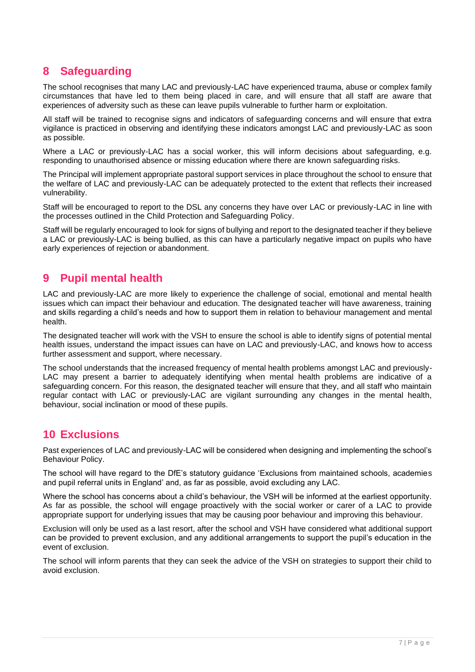# **8 Safeguarding**

The school recognises that many LAC and previously-LAC have experienced trauma, abuse or complex family circumstances that have led to them being placed in care, and will ensure that all staff are aware that experiences of adversity such as these can leave pupils vulnerable to further harm or exploitation.

All staff will be trained to recognise signs and indicators of safeguarding concerns and will ensure that extra vigilance is practiced in observing and identifying these indicators amongst LAC and previously-LAC as soon as possible.

Where a LAC or previously-LAC has a social worker, this will inform decisions about safeguarding, e.g. responding to unauthorised absence or missing education where there are known safeguarding risks.

The Principal will implement appropriate pastoral support services in place throughout the school to ensure that the welfare of LAC and previously-LAC can be adequately protected to the extent that reflects their increased vulnerability.

Staff will be encouraged to report to the DSL any concerns they have over LAC or previously-LAC in line with the processes outlined in the Child Protection and Safeguarding Policy.

Staff will be regularly encouraged to look for signs of bullying and report to the designated teacher if they believe a LAC or previously-LAC is being bullied, as this can have a particularly negative impact on pupils who have early experiences of rejection or abandonment.

### **9 Pupil mental health**

LAC and previously-LAC are more likely to experience the challenge of social, emotional and mental health issues which can impact their behaviour and education. The designated teacher will have awareness, training and skills regarding a child's needs and how to support them in relation to behaviour management and mental health.

The designated teacher will work with the VSH to ensure the school is able to identify signs of potential mental health issues, understand the impact issues can have on LAC and previously-LAC, and knows how to access further assessment and support, where necessary.

The school understands that the increased frequency of mental health problems amongst LAC and previously-LAC may present a barrier to adequately identifying when mental health problems are indicative of a safeguarding concern. For this reason, the designated teacher will ensure that they, and all staff who maintain regular contact with LAC or previously-LAC are vigilant surrounding any changes in the mental health, behaviour, social inclination or mood of these pupils.

### **10 Exclusions**

Past experiences of LAC and previously-LAC will be considered when designing and implementing the school's Behaviour Policy.

The school will have regard to the DfE's statutory guidance 'Exclusions from maintained schools, academies and pupil referral units in England' and, as far as possible, avoid excluding any LAC.

Where the school has concerns about a child's behaviour, the VSH will be informed at the earliest opportunity. As far as possible, the school will engage proactively with the social worker or carer of a LAC to provide appropriate support for underlying issues that may be causing poor behaviour and improving this behaviour.

Exclusion will only be used as a last resort, after the school and VSH have considered what additional support can be provided to prevent exclusion, and any additional arrangements to support the pupil's education in the event of exclusion.

The school will inform parents that they can seek the advice of the VSH on strategies to support their child to avoid exclusion.